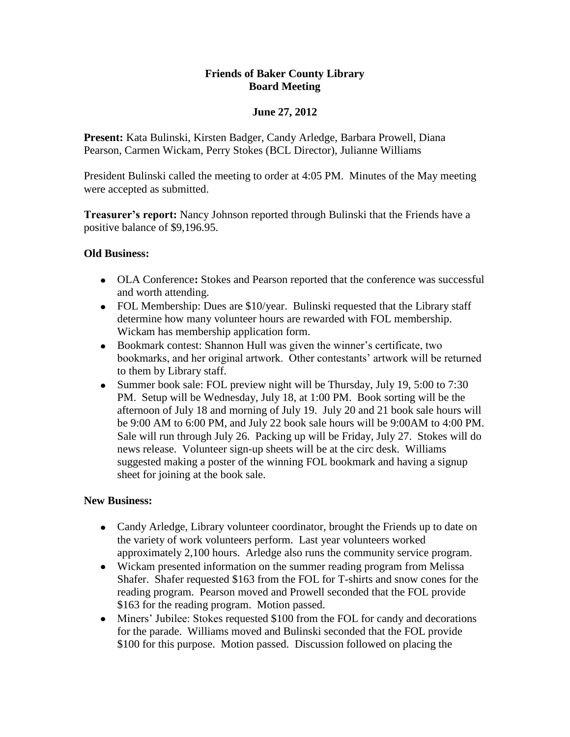### **Friends of Baker County Library Board Meeting**

## **June 27, 2012**

**Present:** Kata Bulinski, Kirsten Badger, Candy Arledge, Barbara Prowell, Diana Pearson, Carmen Wickam, Perry Stokes (BCL Director), Julianne Williams

President Bulinski called the meeting to order at 4:05 PM. Minutes of the May meeting were accepted as submitted.

**Treasurer's report:** Nancy Johnson reported through Bulinski that the Friends have a positive balance of \$9,196.95.

### **Old Business:**

- OLA Conference**:** Stokes and Pearson reported that the conference was successful and worth attending.
- FOL Membership: Dues are \$10/year. Bulinski requested that the Library staff determine how many volunteer hours are rewarded with FOL membership. Wickam has membership application form.
- Bookmark contest: Shannon Hull was given the winner's certificate, two bookmarks, and her original artwork. Other contestants' artwork will be returned to them by Library staff.
- Summer book sale: FOL preview night will be Thursday, July 19, 5:00 to 7:30 PM. Setup will be Wednesday, July 18, at 1:00 PM. Book sorting will be the afternoon of July 18 and morning of July 19. July 20 and 21 book sale hours will be 9:00 AM to 6:00 PM, and July 22 book sale hours will be 9:00AM to 4:00 PM. Sale will run through July 26. Packing up will be Friday, July 27. Stokes will do news release. Volunteer sign-up sheets will be at the circ desk. Williams suggested making a poster of the winning FOL bookmark and having a signup sheet for joining at the book sale.

### **New Business:**

- Candy Arledge, Library volunteer coordinator, brought the Friends up to date on the variety of work volunteers perform. Last year volunteers worked approximately 2,100 hours. Arledge also runs the community service program.
- Wickam presented information on the summer reading program from Melissa Shafer. Shafer requested \$163 from the FOL for T-shirts and snow cones for the reading program. Pearson moved and Prowell seconded that the FOL provide \$163 for the reading program. Motion passed.
- Miners' Jubilee: Stokes requested \$100 from the FOL for candy and decorations for the parade. Williams moved and Bulinski seconded that the FOL provide \$100 for this purpose. Motion passed. Discussion followed on placing the